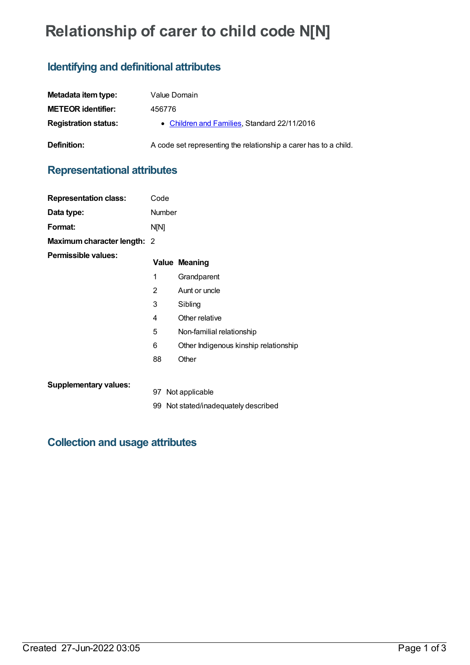# **Relationship of carer to child code N[N]**

## **Identifying and definitional attributes**

| Metadata item type:         | Value Domain                                                     |
|-----------------------------|------------------------------------------------------------------|
| <b>METEOR</b> identifier:   | 456776                                                           |
| <b>Registration status:</b> | • Children and Families, Standard 22/11/2016                     |
| <b>Definition:</b>          | A code set representing the relationship a carer has to a child. |

### **Representational attributes**

| <b>Representation class:</b> | Code          |                                       |
|------------------------------|---------------|---------------------------------------|
| Data type:                   | <b>Number</b> |                                       |
| Format:                      | N[N]          |                                       |
| Maximum character length: 2  |               |                                       |
| Permissible values:          |               | <b>Value Meaning</b>                  |
|                              | 1             | Grandparent                           |
|                              | 2             | Aunt or uncle                         |
|                              | 3             | Sibling                               |
|                              | 4             | Other relative                        |
|                              | 5             | Non-familial relationship             |
|                              | 6             | Other Indigenous kinship relationship |
|                              | 88            | Other                                 |
| <b>Supplementary values:</b> |               | 97 Not applicable                     |
|                              |               | 99 Not stated/inadequately described  |

### **Collection and usage attributes**